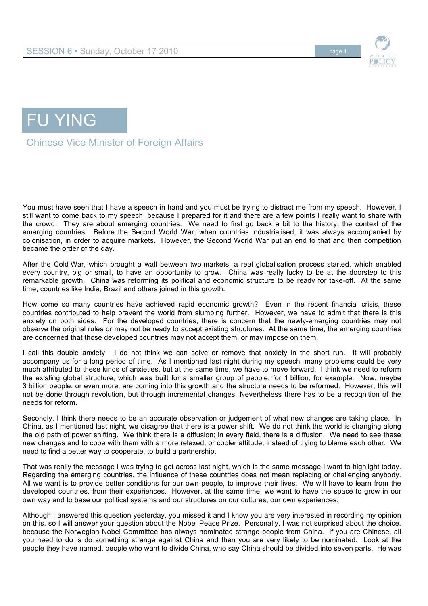



FU YING

Chinese Vice Minister of Foreign Affairs

You must have seen that I have a speech in hand and you must be trying to distract me from my speech. However, I still want to come back to my speech, because I prepared for it and there are a few points I really want to share with the crowd. They are about emerging countries. We need to first go back a bit to the history, the context of the emerging countries. Before the Second World War, when countries industrialised, it was always accompanied by colonisation, in order to acquire markets. However, the Second World War put an end to that and then competition became the order of the day.

After the Cold War, which brought a wall between two markets, a real globalisation process started, which enabled every country, big or small, to have an opportunity to grow. China was really lucky to be at the doorstep to this remarkable growth. China was reforming its political and economic structure to be ready for take-off. At the same time, countries like India, Brazil and others joined in this growth.

How come so many countries have achieved rapid economic growth? Even in the recent financial crisis, these countries contributed to help prevent the world from slumping further. However, we have to admit that there is this anxiety on both sides. For the developed countries, there is concern that the newly-emerging countries may not observe the original rules or may not be ready to accept existing structures. At the same time, the emerging countries are concerned that those developed countries may not accept them, or may impose on them.

I call this double anxiety. I do not think we can solve or remove that anxiety in the short run. It will probably accompany us for a long period of time. As I mentioned last night during my speech, many problems could be very much attributed to these kinds of anxieties, but at the same time, we have to move forward. I think we need to reform the existing global structure, which was built for a smaller group of people, for 1 billion, for example. Now, maybe 3 billion people, or even more, are coming into this growth and the structure needs to be reformed. However, this will not be done through revolution, but through incremental changes. Nevertheless there has to be a recognition of the needs for reform.

Secondly, I think there needs to be an accurate observation or judgement of what new changes are taking place. In China, as I mentioned last night, we disagree that there is a power shift. We do not think the world is changing along the old path of power shifting. We think there is a diffusion; in every field, there is a diffusion. We need to see these new changes and to cope with them with a more relaxed, or cooler attitude, instead of trying to blame each other. We need to find a better way to cooperate, to build a partnership.

That was really the message I was trying to get across last night, which is the same message I want to highlight today. Regarding the emerging countries, the influence of these countries does not mean replacing or challenging anybody. All we want is to provide better conditions for our own people, to improve their lives. We will have to learn from the developed countries, from their experiences. However, at the same time, we want to have the space to grow in our own way and to base our political systems and our structures on our cultures, our own experiences.

Although I answered this question yesterday, you missed it and I know you are very interested in recording my opinion on this, so I will answer your question about the Nobel Peace Prize. Personally, I was not surprised about the choice, because the Norwegian Nobel Committee has always nominated strange people from China. If you are Chinese, all you need to do is do something strange against China and then you are very likely to be nominated. Look at the people they have named, people who want to divide China, who say China should be divided into seven parts. He was